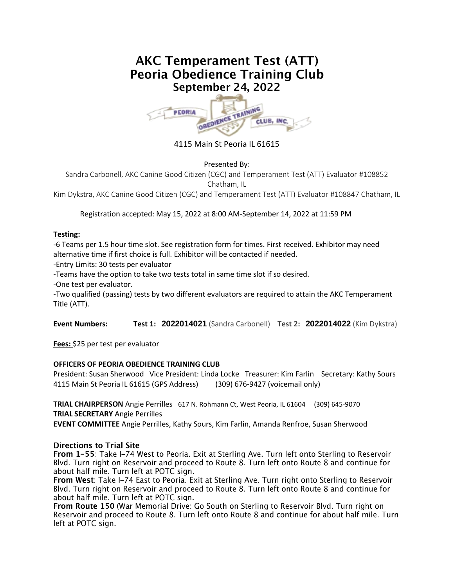# **AKC Temperament Test (ATT)** Peoria Obedience Training Club September 24, 2022



4115 Main St Peoria IL 61615

#### Presented By:

Sandra Carbonell, AKC Canine Good Citizen (CGC) and Temperament Test (ATT) Evaluator #108852 Chatham, IL

Kim Dykstra, AKC Canine Good Citizen (CGC) and Temperament Test (ATT) Evaluator #108847 Chatham, IL

Registration accepted: May 15, 2022 at 8:00 AM-September 14, 2022 at 11:59 PM

#### **Testing:**

-6 Teams per 1.5 hour time slot. See registration form for times. First received. Exhibitor may need alternative time if first choice is full. Exhibitor will be contacted if needed.

-Entry Limits: 30 tests per evaluator

-Teams have the option to take two tests total in same time slot if so desired.

-One test per evaluator.

-Two qualified (passing) tests by two different evaluators are required to attain the AKC Temperament Title (ATT).

**Event Numbers: Test 1: 2022014021** (Sandra Carbonell) **Test 2: 2022014022** (Kim Dykstra)

**Fees:** \$25 per test per evaluator

### **OFFICERS OF PEORIA OBEDIENCE TRAINING CLUB**

President: Susan Sherwood Vice President: Linda Locke Treasurer: Kim Farlin Secretary: Kathy Sours 4115 Main St Peoria IL 61615 (GPS Address) (309) 676-9427 (voicemail only)

**TRIAL CHAIRPERSON** Angie Perrilles 617 N. Rohmann Ct, West Peoria, IL 61604 (309) 645-9070 **TRIAL SECRETARY** Angie Perrilles

**EVENT COMMITTEE** Angie Perrilles, Kathy Sours, Kim Farlin, Amanda Renfroe, Susan Sherwood

#### **Directions to Trial Site**

From 1-55: Take I-74 West to Peoria. Exit at Sterling Ave. Turn left onto Sterling to Reservoir Blvd. Turn right on Reservoir and proceed to Route 8. Turn left onto Route 8 and continue for about half mile. Turn left at POTC sign.

From West: Take I-74 East to Peoria. Exit at Sterling Ave. Turn right onto Sterling to Reservoir Blvd. Turn right on Reservoir and proceed to Route 8. Turn left onto Route 8 and continue for about half mile. Turn left at POTC sign.

From Route 150 (War Memorial Drive: Go South on Sterling to Reservoir Blvd. Turn right on Reservoir and proceed to Route 8. Turn left onto Route 8 and continue for about half mile. Turn left at POTC sign.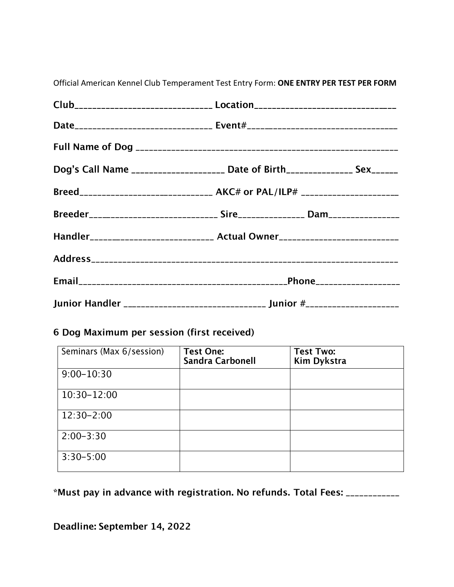| Club__________________________________ Location_________________________________ |                                                                                  |  |
|----------------------------------------------------------------------------------|----------------------------------------------------------------------------------|--|
|                                                                                  |                                                                                  |  |
|                                                                                  |                                                                                  |  |
| Dog's Call Name _____________________ Date of Birth______________ Sex_______     |                                                                                  |  |
|                                                                                  | Breed_______________________________ AKC# or PAL/ILP# __________________________ |  |
| Breeder_____________________________ Sire________________ Dam___________________ |                                                                                  |  |
| Handler____________________________ Actual Owner________________________________ |                                                                                  |  |
|                                                                                  |                                                                                  |  |
|                                                                                  |                                                                                  |  |
|                                                                                  | Junior Handler __________________________________ Junior #______________________ |  |

Official American Kennel Club Temperament Test Entry Form: ONE ENTRY PER TEST PER FORM

## 6 Dog Maximum per session (first received)

| Seminars (Max 6/session) | <b>Test One:</b><br><b>Sandra Carbonell</b> | <b>Test Two:</b><br><b>Kim Dykstra</b> |
|--------------------------|---------------------------------------------|----------------------------------------|
| $9:00 - 10:30$           |                                             |                                        |
| 10:30-12:00              |                                             |                                        |
| $12:30 - 2:00$           |                                             |                                        |
| $2:00-3:30$              |                                             |                                        |
| $3:30 - 5:00$            |                                             |                                        |

\*Must pay in advance with registration. No refunds. Total Fees: \_\_\_\_\_\_\_\_\_\_\_\_

Deadline: September 14, 2022